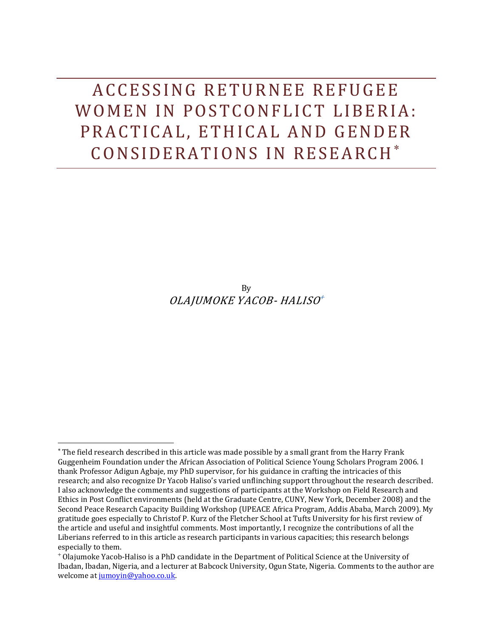ACCESSING RETURNEE REFUGEE WOMEN IN POSTCONFLICT LIBERIA: PRACTICAL, ETHICAL AND GENDER CONSIDERATIONS IN RESEARCH\*

> By OLAJUMOKE YACOB- HALISO

 $\overline{\phantom{0}}$ 

The field research described in this article was made possible by a small grant from the Harry Frank Guggenheim Foundation under the African Association of Political Science Young Scholars Program 2006. I thank Professor Adigun Agbaje, my PhD supervisor, for his guidance in crafting the intricacies of this research; and also recognize Dr Yacob Haliso's varied unflinching support throughout the research described. I also acknowledge the comments and suggestions of participants at the Workshop on Field Research and Ethics in Post Conflict environments (held at the Graduate Centre, CUNY, New York, December 2008) and the Second Peace Research Capacity Building Workshop (UPEACE Africa Program, Addis Ababa, March 2009). My gratitude goes especially to Christof P. Kurz of the Fletcher School at Tufts University for his first review of the article and useful and insightful comments. Most importantly, I recognize the contributions of all the Liberians referred to in this article as research participants in various capacities; this research belongs especially to them.

Olajumoke Yacob-Haliso is a PhD candidate in the Department of Political Science at the University of Ibadan, Ibadan, Nigeria, and a lecturer at Babcock University, Ogun State, Nigeria. Comments to the author are welcome at [jumoyin@yahoo.co.uk.](mailto:jumoyin@yahoo.co.uk)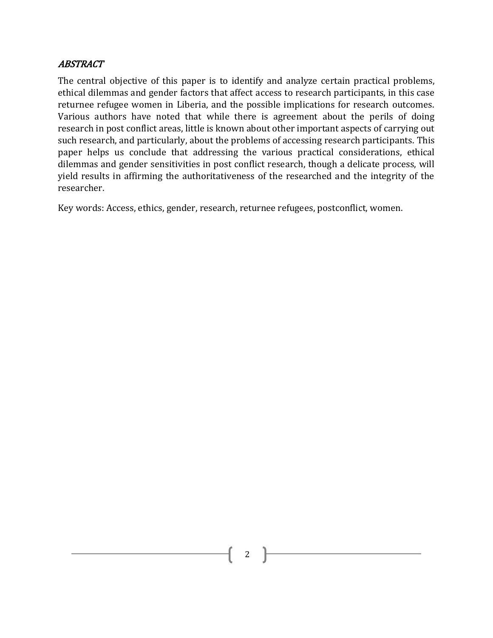# **ABSTRACT**

The central objective of this paper is to identify and analyze certain practical problems, ethical dilemmas and gender factors that affect access to research participants, in this case returnee refugee women in Liberia, and the possible implications for research outcomes. Various authors have noted that while there is agreement about the perils of doing research in post conflict areas, little is known about other important aspects of carrying out such research, and particularly, about the problems of accessing research participants. This paper helps us conclude that addressing the various practical considerations, ethical dilemmas and gender sensitivities in post conflict research, though a delicate process, will yield results in affirming the authoritativeness of the researched and the integrity of the researcher.

Key words: Access, ethics, gender, research, returnee refugees, postconflict, women.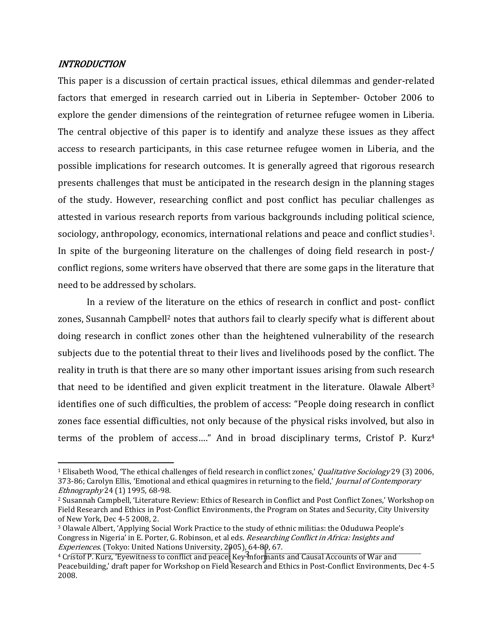## INTRODUCTION

l

This paper is a discussion of certain practical issues, ethical dilemmas and gender-related factors that emerged in research carried out in Liberia in September- October 2006 to explore the gender dimensions of the reintegration of returnee refugee women in Liberia. The central objective of this paper is to identify and analyze these issues as they affect access to research participants, in this case returnee refugee women in Liberia, and the possible implications for research outcomes. It is generally agreed that rigorous research presents challenges that must be anticipated in the research design in the planning stages of the study. However, researching conflict and post conflict has peculiar challenges as attested in various research reports from various backgrounds including political science, sociology, anthropology, economics, international relations and peace and conflict studies1. In spite of the burgeoning literature on the challenges of doing field research in post-/ conflict regions, some writers have observed that there are some gaps in the literature that need to be addressed by scholars.

In a review of the literature on the ethics of research in conflict and post- conflict zones, Susannah Campbell<sup>2</sup> notes that authors fail to clearly specify what is different about doing research in conflict zones other than the heightened vulnerability of the research subjects due to the potential threat to their lives and livelihoods posed by the conflict. The reality in truth is that there are so many other important issues arising from such research that need to be identified and given explicit treatment in the literature. Olawale Albert<sup>3</sup> identifies one of such difficulties, the problem of access: "People doing research in conflict zones face essential difficulties, not only because of the physical risks involved, but also in terms of the problem of access…." And in broad disciplinary terms, Cristof P. Kurz<sup>4</sup>

<sup>&</sup>lt;sup>1</sup> Elisabeth Wood, 'The ethical challenges of field research in conflict zones,' *Qualitative Sociology* 29 (3) 2006, 373-86; Carolyn Ellis, 'Emotional and ethical quagmires in returning to the field,' Journal of Contemporary Ethnography 24 (1) 1995, 68-98.

<sup>2</sup> Susannah Campbell, 'Literature Review: Ethics of Research in Conflict and Post Conflict Zones,' Workshop on Field Research and Ethics in Post-Conflict Environments, the Program on States and Security, City University of New York, Dec 4-5 2008, 2.

<sup>3</sup> Olawale Albert, 'Applying Social Work Practice to the study of ethnic militias: the Oduduwa People's Congress in Nigeria' in E. Porter, G. Robinson, et al eds. Researching Conflict in Africa: Insights and Experiences. (Tokyo: United Nations University, 2005), 64-89, 67.

<sup>&</sup>lt;sup>4</sup> Cristof P. Kurz, 'Eyewitness to conflict and peace: Key 3nformants and Causal Accounts of War and Peacebuilding,' draft paper for Workshop on Field Research and Ethics in Post-Conflict Environments, Dec 4-5 2008.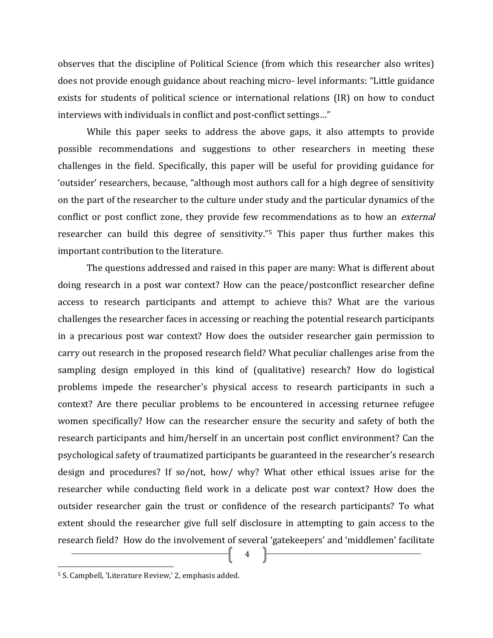observes that the discipline of Political Science (from which this researcher also writes) does not provide enough guidance about reaching micro- level informants: "Little guidance exists for students of political science or international relations (IR) on how to conduct interviews with individuals in conflict and post-conflict settings…"

While this paper seeks to address the above gaps, it also attempts to provide possible recommendations and suggestions to other researchers in meeting these challenges in the field. Specifically, this paper will be useful for providing guidance for 'outsider' researchers, because, "although most authors call for a high degree of sensitivity on the part of the researcher to the culture under study and the particular dynamics of the conflict or post conflict zone, they provide few recommendations as to how an *external* researcher can build this degree of sensitivity." <sup>5</sup> This paper thus further makes this important contribution to the literature.

The questions addressed and raised in this paper are many: What is different about doing research in a post war context? How can the peace/postconflict researcher define access to research participants and attempt to achieve this? What are the various challenges the researcher faces in accessing or reaching the potential research participants in a precarious post war context? How does the outsider researcher gain permission to carry out research in the proposed research field? What peculiar challenges arise from the sampling design employed in this kind of (qualitative) research? How do logistical problems impede the researcher's physical access to research participants in such a context? Are there peculiar problems to be encountered in accessing returnee refugee women specifically? How can the researcher ensure the security and safety of both the research participants and him/herself in an uncertain post conflict environment? Can the psychological safety of traumatized participants be guaranteed in the researcher's research design and procedures? If so/not, how/ why? What other ethical issues arise for the researcher while conducting field work in a delicate post war context? How does the outsider researcher gain the trust or confidence of the research participants? To what extent should the researcher give full self disclosure in attempting to gain access to the research field? How do the involvement of several 'gatekeepers' and 'middlemen' facilitate

4

<sup>5</sup> S. Campbell, 'Literature Review,' 2, emphasis added.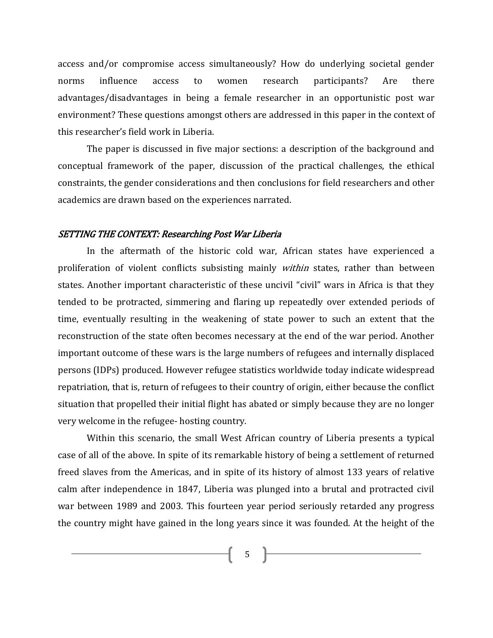access and/or compromise access simultaneously? How do underlying societal gender norms influence access to women research participants? Are there advantages/disadvantages in being a female researcher in an opportunistic post war environment? These questions amongst others are addressed in this paper in the context of this researcher's field work in Liberia.

The paper is discussed in five major sections: a description of the background and conceptual framework of the paper, discussion of the practical challenges, the ethical constraints, the gender considerations and then conclusions for field researchers and other academics are drawn based on the experiences narrated.

#### SETTING THE CONTEXT: Researching Post War Liberia

In the aftermath of the historic cold war, African states have experienced a proliferation of violent conflicts subsisting mainly *within* states, rather than between states. Another important characteristic of these uncivil "civil" wars in Africa is that they tended to be protracted, simmering and flaring up repeatedly over extended periods of time, eventually resulting in the weakening of state power to such an extent that the reconstruction of the state often becomes necessary at the end of the war period. Another important outcome of these wars is the large numbers of refugees and internally displaced persons (IDPs) produced. However refugee statistics worldwide today indicate widespread repatriation, that is, return of refugees to their country of origin, either because the conflict situation that propelled their initial flight has abated or simply because they are no longer very welcome in the refugee- hosting country.

Within this scenario, the small West African country of Liberia presents a typical case of all of the above. In spite of its remarkable history of being a settlement of returned freed slaves from the Americas, and in spite of its history of almost 133 years of relative calm after independence in 1847, Liberia was plunged into a brutal and protracted civil war between 1989 and 2003. This fourteen year period seriously retarded any progress the country might have gained in the long years since it was founded. At the height of the

 $5 \quad \}$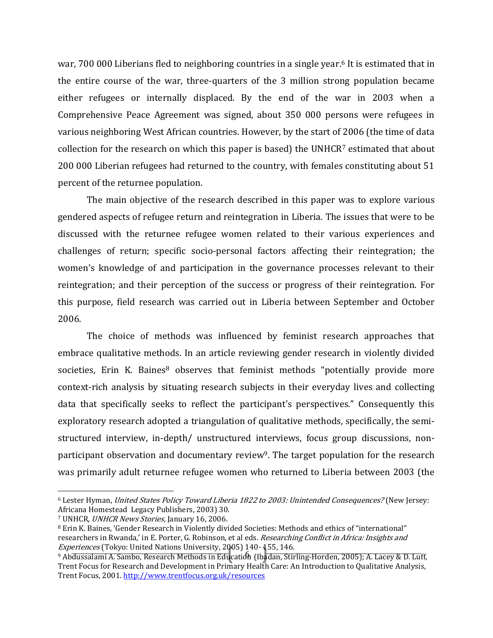war, 700 000 Liberians fled to neighboring countries in a single year. <sup>6</sup> It is estimated that in the entire course of the war, three-quarters of the 3 million strong population became either refugees or internally displaced. By the end of the war in 2003 when a Comprehensive Peace Agreement was signed, about 350 000 persons were refugees in various neighboring West African countries. However, by the start of 2006 (the time of data collection for the research on which this paper is based) the UNHCR<sup>7</sup> estimated that about 200 000 Liberian refugees had returned to the country, with females constituting about 51 percent of the returnee population.

The main objective of the research described in this paper was to explore various gendered aspects of refugee return and reintegration in Liberia. The issues that were to be discussed with the returnee refugee women related to their various experiences and challenges of return; specific socio-personal factors affecting their reintegration; the women's knowledge of and participation in the governance processes relevant to their reintegration; and their perception of the success or progress of their reintegration. For this purpose, field research was carried out in Liberia between September and October 2006.

The choice of methods was influenced by feminist research approaches that embrace qualitative methods. In an article reviewing gender research in violently divided societies, Erin K. Baines $8$  observes that feminist methods "potentially provide more context-rich analysis by situating research subjects in their everyday lives and collecting data that specifically seeks to reflect the participant's perspectives." Consequently this exploratory research adopted a triangulation of qualitative methods, specifically, the semistructured interview, in-depth/ unstructured interviews, focus group discussions, nonparticipant observation and documentary review<sup>9</sup>. The target population for the research was primarily adult returnee refugee women who returned to Liberia between 2003 (the

 $\overline{\phantom{0}}$ 

<sup>6</sup> Lester Hyman, United States Policy Toward Liberia 1822 to 2003: Unintended Consequences? (New Jersey: Africana Homestead Legacy Publishers, 2003) 30.

<sup>7</sup> UNHCR, UNHCR News Stories, January 16, 2006.

<sup>8</sup> Erin K. Baines, 'Gender Research in Violently divided Societies: Methods and ethics of "international" researchers in Rwanda,' in E. Porter, G. Robinson, et al eds. Researching Conflict in Africa: Insights and Experiences (Tokyo: United Nations University, 2005) 140- 155, 146.

<sup>&</sup>lt;sup>9</sup> Ab<del>dussalami A. Sambo, Research Methods in Edu</del>cation (Ibadan, Stirling-Horden, 2005); A. Lacey & D. Luff, Trent Focus for Research and Development in Primary Health Care: An Introduction to Qualitative Analysis, Trent Focus, 2001[. http://www.trentfocus.org.uk/resources](http://www.trentfocus.org.uk/resources)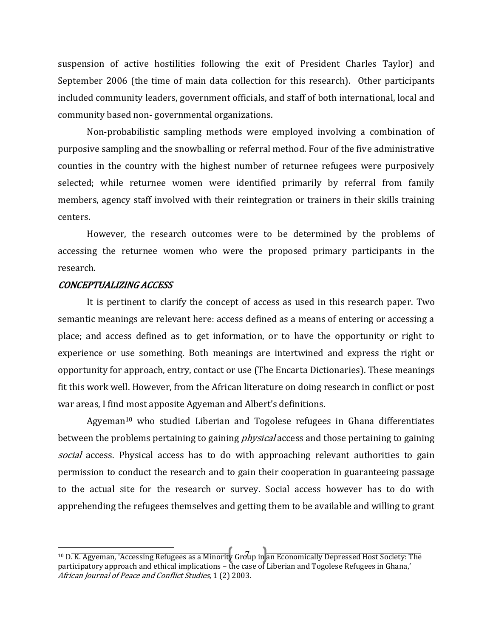suspension of active hostilities following the exit of President Charles Taylor) and September 2006 (the time of main data collection for this research). Other participants included community leaders, government officials, and staff of both international, local and community based non- governmental organizations.

Non-probabilistic sampling methods were employed involving a combination of purposive sampling and the snowballing or referral method. Four of the five administrative counties in the country with the highest number of returnee refugees were purposively selected; while returnee women were identified primarily by referral from family members, agency staff involved with their reintegration or trainers in their skills training centers.

However, the research outcomes were to be determined by the problems of accessing the returnee women who were the proposed primary participants in the research.

## CONCEPTUALIZING ACCESS

l

It is pertinent to clarify the concept of access as used in this research paper. Two semantic meanings are relevant here: access defined as a means of entering or accessing a place; and access defined as to get information, or to have the opportunity or right to experience or use something. Both meanings are intertwined and express the right or opportunity for approach, entry, contact or use (The Encarta Dictionaries). These meanings fit this work well. However, from the African literature on doing research in conflict or post war areas, I find most apposite Agyeman and Albert's definitions.

Agyeman<sup>10</sup> who studied Liberian and Togolese refugees in Ghana differentiates between the problems pertaining to gaining *physical* access and those pertaining to gaining social access. Physical access has to do with approaching relevant authorities to gain permission to conduct the research and to gain their cooperation in guaranteeing passage to the actual site for the research or survey. Social access however has to do with apprehending the refugees themselves and getting them to be available and willing to grant

<sup>7</sup> <sup>10</sup> D. K. Agyeman, 'Accessing Refugees as a Minority Group in an Economically Depressed Host Society: The participatory approach and ethical implications – the case of Liberian and Togolese Refugees in Ghana,' African Journal of Peace and Conflict Studies, 1 (2) 2003.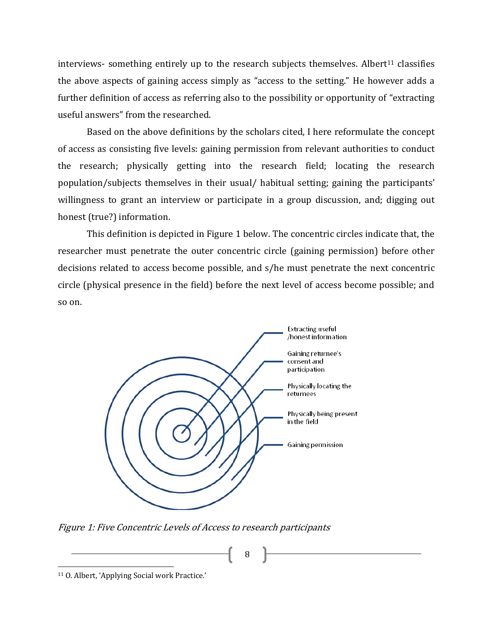interviews- something entirely up to the research subjects themselves. Albert<sup>11</sup> classifies the above aspects of gaining access simply as "access to the setting." He however adds a further definition of access as referring also to the possibility or opportunity of "extracting useful answers" from the researched.

Based on the above definitions by the scholars cited, I here reformulate the concept of access as consisting five levels: gaining permission from relevant authorities to conduct the research; physically getting into the research field; locating the research population/subjects themselves in their usual/ habitual setting; gaining the participants' willingness to grant an interview or participate in a group discussion, and; digging out honest (true?) information.

This definition is depicted in Figure 1 below. The concentric circles indicate that, the researcher must penetrate the outer concentric circle (gaining permission) before other decisions related to access become possible, and s/he must penetrate the next concentric circle (physical presence in the field) before the next level of access become possible; and so on.



8

Figure 1: Five Concentric Levels of Access to research participants

<sup>11</sup> O. Albert, 'Applying Social work Practice.'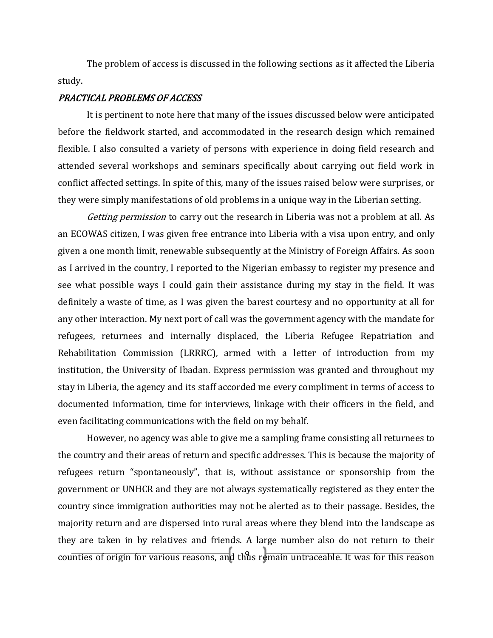The problem of access is discussed in the following sections as it affected the Liberia study.

#### PRACTICAL PROBLEMS OF ACCESS

It is pertinent to note here that many of the issues discussed below were anticipated before the fieldwork started, and accommodated in the research design which remained flexible. I also consulted a variety of persons with experience in doing field research and attended several workshops and seminars specifically about carrying out field work in conflict affected settings. In spite of this, many of the issues raised below were surprises, or they were simply manifestations of old problems in a unique way in the Liberian setting.

Getting permission to carry out the research in Liberia was not a problem at all. As an ECOWAS citizen, I was given free entrance into Liberia with a visa upon entry, and only given a one month limit, renewable subsequently at the Ministry of Foreign Affairs. As soon as I arrived in the country, I reported to the Nigerian embassy to register my presence and see what possible ways I could gain their assistance during my stay in the field. It was definitely a waste of time, as I was given the barest courtesy and no opportunity at all for any other interaction. My next port of call was the government agency with the mandate for refugees, returnees and internally displaced, the Liberia Refugee Repatriation and Rehabilitation Commission (LRRRC), armed with a letter of introduction from my institution, the University of Ibadan. Express permission was granted and throughout my stay in Liberia, the agency and its staff accorded me every compliment in terms of access to documented information, time for interviews, linkage with their officers in the field, and even facilitating communications with the field on my behalf.

cou<del>nties of origin for various reasons, and thus remain untraceable. It was for this reason</del> However, no agency was able to give me a sampling frame consisting all returnees to the country and their areas of return and specific addresses. This is because the majority of refugees return "spontaneously", that is, without assistance or sponsorship from the government or UNHCR and they are not always systematically registered as they enter the country since immigration authorities may not be alerted as to their passage. Besides, the majority return and are dispersed into rural areas where they blend into the landscape as they are taken in by relatives and friends. A large number also do not return to their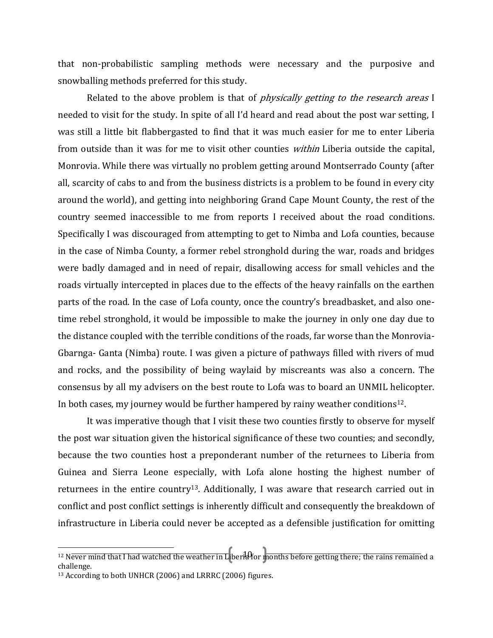that non-probabilistic sampling methods were necessary and the purposive and snowballing methods preferred for this study.

Related to the above problem is that of *physically getting to the research areas* I needed to visit for the study. In spite of all I'd heard and read about the post war setting, I was still a little bit flabbergasted to find that it was much easier for me to enter Liberia from outside than it was for me to visit other counties within Liberia outside the capital, Monrovia. While there was virtually no problem getting around Montserrado County (after all, scarcity of cabs to and from the business districts is a problem to be found in every city around the world), and getting into neighboring Grand Cape Mount County, the rest of the country seemed inaccessible to me from reports I received about the road conditions. Specifically I was discouraged from attempting to get to Nimba and Lofa counties, because in the case of Nimba County, a former rebel stronghold during the war, roads and bridges were badly damaged and in need of repair, disallowing access for small vehicles and the roads virtually intercepted in places due to the effects of the heavy rainfalls on the earthen parts of the road. In the case of Lofa county, once the country's breadbasket, and also onetime rebel stronghold, it would be impossible to make the journey in only one day due to the distance coupled with the terrible conditions of the roads, far worse than the Monrovia-Gbarnga- Ganta (Nimba) route. I was given a picture of pathways filled with rivers of mud and rocks, and the possibility of being waylaid by miscreants was also a concern. The consensus by all my advisers on the best route to Lofa was to board an UNMIL helicopter. In both cases, my journey would be further hampered by rainy weather conditions<sup>12</sup>.

It was imperative though that I visit these two counties firstly to observe for myself the post war situation given the historical significance of these two counties; and secondly, because the two counties host a preponderant number of the returnees to Liberia from Guinea and Sierra Leone especially, with Lofa alone hosting the highest number of returnees in the entire country13. Additionally, I was aware that research carried out in conflict and post conflict settings is inherently difficult and consequently the breakdown of infrastructure in Liberia could never be accepted as a defensible justification for omitting

 $40$ <sup>12</sup> Never mind that I had watched the weather in Liberia for months before getting there; the rains remained a challenge.

<sup>13</sup> According to both UNHCR (2006) and LRRRC (2006) figures.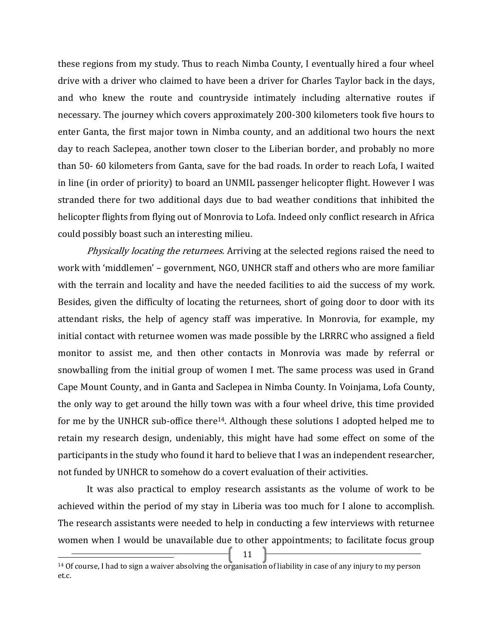these regions from my study. Thus to reach Nimba County, I eventually hired a four wheel drive with a driver who claimed to have been a driver for Charles Taylor back in the days, and who knew the route and countryside intimately including alternative routes if necessary. The journey which covers approximately 200-300 kilometers took five hours to enter Ganta, the first major town in Nimba county, and an additional two hours the next day to reach Saclepea, another town closer to the Liberian border, and probably no more than 50- 60 kilometers from Ganta, save for the bad roads. In order to reach Lofa, I waited in line (in order of priority) to board an UNMIL passenger helicopter flight. However I was stranded there for two additional days due to bad weather conditions that inhibited the helicopter flights from flying out of Monrovia to Lofa. Indeed only conflict research in Africa could possibly boast such an interesting milieu.

*Physically locating the returnees.* Arriving at the selected regions raised the need to work with 'middlemen' – government, NGO, UNHCR staff and others who are more familiar with the terrain and locality and have the needed facilities to aid the success of my work. Besides, given the difficulty of locating the returnees, short of going door to door with its attendant risks, the help of agency staff was imperative. In Monrovia, for example, my initial contact with returnee women was made possible by the LRRRC who assigned a field monitor to assist me, and then other contacts in Monrovia was made by referral or snowballing from the initial group of women I met. The same process was used in Grand Cape Mount County, and in Ganta and Saclepea in Nimba County. In Voinjama, Lofa County, the only way to get around the hilly town was with a four wheel drive, this time provided for me by the UNHCR sub-office there<sup>14</sup>. Although these solutions I adopted helped me to retain my research design, undeniably, this might have had some effect on some of the participants in the study who found it hard to believe that I was an independent researcher, not funded by UNHCR to somehow do a covert evaluation of their activities.

It was also practical to employ research assistants as the volume of work to be achieved within the period of my stay in Liberia was too much for I alone to accomplish. The research assistants were needed to help in conducting a few interviews with returnee women when I would be unavailable due to other appointments; to facilitate focus group

 $11 \quad \}$ 

 $\overline{\phantom{0}}$ 

<sup>&</sup>lt;sup>14</sup> Of course, I had to sign a waiver absolving the organisation of liability in case of any injury to my person et.c.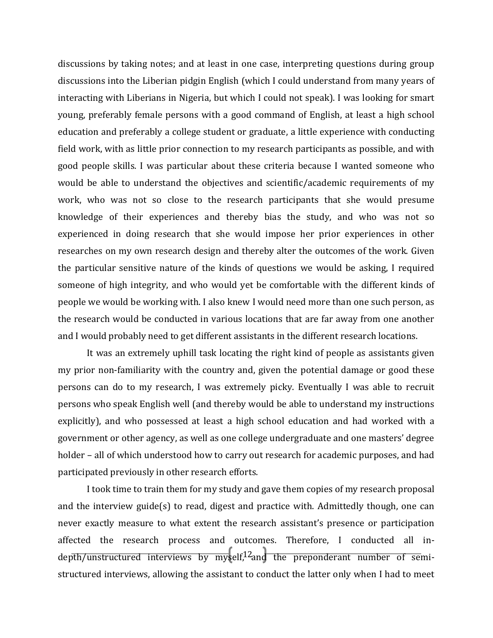discussions by taking notes; and at least in one case, interpreting questions during group discussions into the Liberian pidgin English (which I could understand from many years of interacting with Liberians in Nigeria, but which I could not speak). I was looking for smart young, preferably female persons with a good command of English, at least a high school education and preferably a college student or graduate, a little experience with conducting field work, with as little prior connection to my research participants as possible, and with good people skills. I was particular about these criteria because I wanted someone who would be able to understand the objectives and scientific/academic requirements of my work, who was not so close to the research participants that she would presume knowledge of their experiences and thereby bias the study, and who was not so experienced in doing research that she would impose her prior experiences in other researches on my own research design and thereby alter the outcomes of the work. Given the particular sensitive nature of the kinds of questions we would be asking, I required someone of high integrity, and who would yet be comfortable with the different kinds of people we would be working with. I also knew I would need more than one such person, as the research would be conducted in various locations that are far away from one another and I would probably need to get different assistants in the different research locations.

It was an extremely uphill task locating the right kind of people as assistants given my prior non-familiarity with the country and, given the potential damage or good these persons can do to my research, I was extremely picky. Eventually I was able to recruit persons who speak English well (and thereby would be able to understand my instructions explicitly), and who possessed at least a high school education and had worked with a government or other agency, as well as one college undergraduate and one masters' degree holder – all of which understood how to carry out research for academic purposes, and had participated previously in other research efforts.

depth/unstructured interviews by myself,<sup>12</sup>and the preponderant number of semi-I took time to train them for my study and gave them copies of my research proposal and the interview guide(s) to read, digest and practice with. Admittedly though, one can never exactly measure to what extent the research assistant's presence or participation affected the research process and outcomes. Therefore, I conducted all instructured interviews, allowing the assistant to conduct the latter only when I had to meet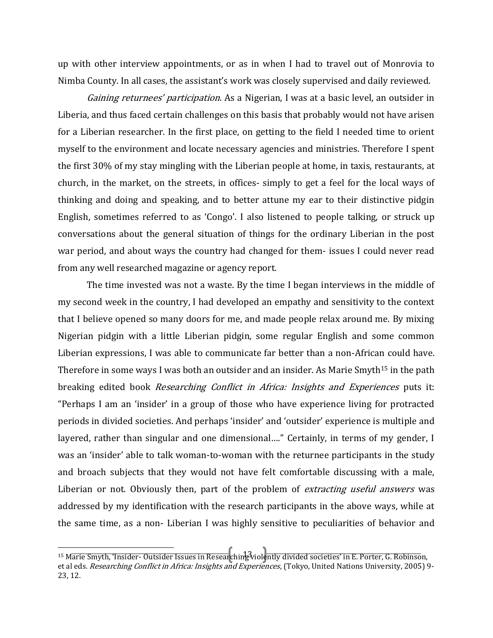up with other interview appointments, or as in when I had to travel out of Monrovia to Nimba County. In all cases, the assistant's work was closely supervised and daily reviewed.

Gaining returnees' participation. As a Nigerian, I was at a basic level, an outsider in Liberia, and thus faced certain challenges on this basis that probably would not have arisen for a Liberian researcher. In the first place, on getting to the field I needed time to orient myself to the environment and locate necessary agencies and ministries. Therefore I spent the first 30% of my stay mingling with the Liberian people at home, in taxis, restaurants, at church, in the market, on the streets, in offices- simply to get a feel for the local ways of thinking and doing and speaking, and to better attune my ear to their distinctive pidgin English, sometimes referred to as 'Congo'. I also listened to people talking, or struck up conversations about the general situation of things for the ordinary Liberian in the post war period, and about ways the country had changed for them- issues I could never read from any well researched magazine or agency report.

The time invested was not a waste. By the time I began interviews in the middle of my second week in the country, I had developed an empathy and sensitivity to the context that I believe opened so many doors for me, and made people relax around me. By mixing Nigerian pidgin with a little Liberian pidgin, some regular English and some common Liberian expressions, I was able to communicate far better than a non-African could have. Therefore in some ways I was both an outsider and an insider. As Marie Smyth<sup>15</sup> in the path breaking edited book *Researching Conflict in Africa: Insights and Experiences* puts it: "Perhaps I am an 'insider' in a group of those who have experience living for protracted periods in divided societies. And perhaps 'insider' and 'outsider' experience is multiple and layered, rather than singular and one dimensional…." Certainly, in terms of my gender, I was an 'insider' able to talk woman-to-woman with the returnee participants in the study and broach subjects that they would not have felt comfortable discussing with a male, Liberian or not. Obviously then, part of the problem of *extracting useful answers* was addressed by my identification with the research participants in the above ways, while at the same time, as a non- Liberian I was highly sensitive to peculiarities of behavior and

<sup>13</sup> <sup>15</sup> Marie Smyth, 'Insider- Outsider Issues in Researching violently divided societies' in E. Porter, G. Robinson, et al eds. Researching Conflict in Africa: Insights and Experiences, (Tokyo, United Nations University, 2005) 9-23, 12.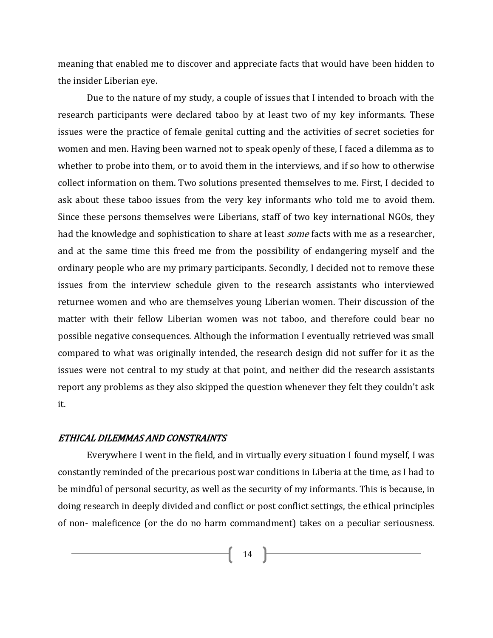meaning that enabled me to discover and appreciate facts that would have been hidden to the insider Liberian eye.

Due to the nature of my study, a couple of issues that I intended to broach with the research participants were declared taboo by at least two of my key informants. These issues were the practice of female genital cutting and the activities of secret societies for women and men. Having been warned not to speak openly of these, I faced a dilemma as to whether to probe into them, or to avoid them in the interviews, and if so how to otherwise collect information on them. Two solutions presented themselves to me. First, I decided to ask about these taboo issues from the very key informants who told me to avoid them. Since these persons themselves were Liberians, staff of two key international NGOs, they had the knowledge and sophistication to share at least *some* facts with me as a researcher, and at the same time this freed me from the possibility of endangering myself and the ordinary people who are my primary participants. Secondly, I decided not to remove these issues from the interview schedule given to the research assistants who interviewed returnee women and who are themselves young Liberian women. Their discussion of the matter with their fellow Liberian women was not taboo, and therefore could bear no possible negative consequences. Although the information I eventually retrieved was small compared to what was originally intended, the research design did not suffer for it as the issues were not central to my study at that point, and neither did the research assistants report any problems as they also skipped the question whenever they felt they couldn't ask it.

## ETHICAL DILEMMAS AND CONSTRAINTS

Everywhere I went in the field, and in virtually every situation I found myself, I was constantly reminded of the precarious post war conditions in Liberia at the time, as I had to be mindful of personal security, as well as the security of my informants. This is because, in doing research in deeply divided and conflict or post conflict settings, the ethical principles of non- maleficence (or the do no harm commandment) takes on a peculiar seriousness.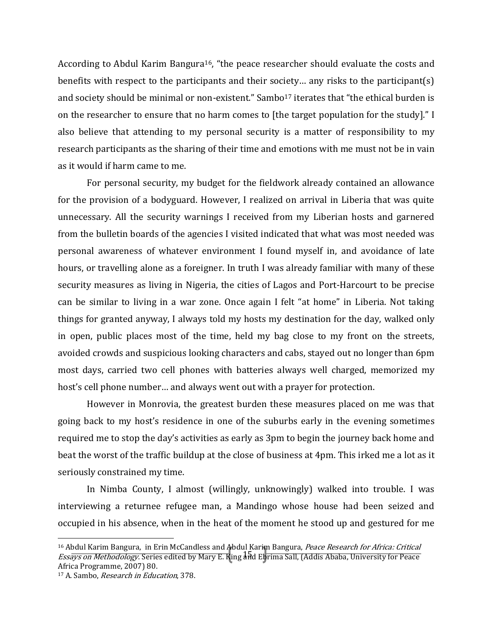According to Abdul Karim Bangura<sup>16</sup>, "the peace researcher should evaluate the costs and benefits with respect to the participants and their society… any risks to the participant(s) and society should be minimal or non-existent." Sambo<sup>17</sup> iterates that "the ethical burden is on the researcher to ensure that no harm comes to [the target population for the study]." I also believe that attending to my personal security is a matter of responsibility to my research participants as the sharing of their time and emotions with me must not be in vain as it would if harm came to me.

For personal security, my budget for the fieldwork already contained an allowance for the provision of a bodyguard. However, I realized on arrival in Liberia that was quite unnecessary. All the security warnings I received from my Liberian hosts and garnered from the bulletin boards of the agencies I visited indicated that what was most needed was personal awareness of whatever environment I found myself in, and avoidance of late hours, or travelling alone as a foreigner. In truth I was already familiar with many of these security measures as living in Nigeria, the cities of Lagos and Port-Harcourt to be precise can be similar to living in a war zone. Once again I felt "at home" in Liberia. Not taking things for granted anyway, I always told my hosts my destination for the day, walked only in open, public places most of the time, held my bag close to my front on the streets, avoided crowds and suspicious looking characters and cabs, stayed out no longer than 6pm most days, carried two cell phones with batteries always well charged, memorized my host's cell phone number… and always went out with a prayer for protection.

However in Monrovia, the greatest burden these measures placed on me was that going back to my host's residence in one of the suburbs early in the evening sometimes required me to stop the day's activities as early as 3pm to begin the journey back home and beat the worst of the traffic buildup at the close of business at 4pm. This irked me a lot as it seriously constrained my time.

In Nimba County, I almost (willingly, unknowingly) walked into trouble. I was interviewing a returnee refugee man, a Mandingo whose house had been seized and occupied in his absence, when in the heat of the moment he stood up and gestured for me

Essays on Methodology. Series edited by Mary E. King and Ebrima Sall, (Addis Ababa, University for Peace <sup>16</sup> Abdul Karim Bangura, in Erin McCandless and Abdul Karim Bangura, Peace Research for Africa: Critical Africa Programme, 2007) 80.

<sup>17</sup> A. Sambo, Research in Education, 378.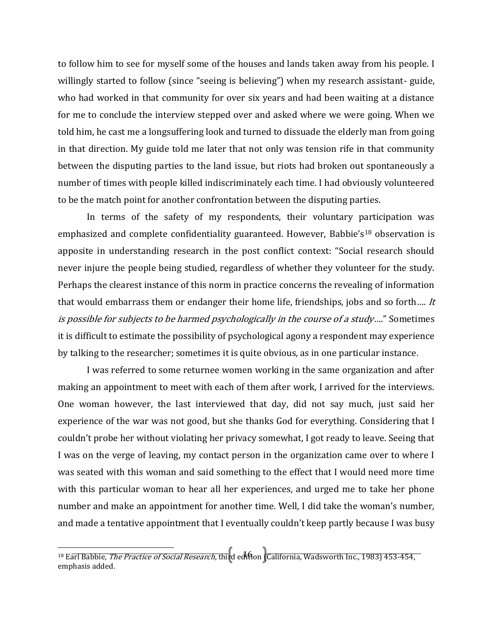to follow him to see for myself some of the houses and lands taken away from his people. I willingly started to follow (since "seeing is believing") when my research assistant- guide, who had worked in that community for over six years and had been waiting at a distance for me to conclude the interview stepped over and asked where we were going. When we told him, he cast me a longsuffering look and turned to dissuade the elderly man from going in that direction. My guide told me later that not only was tension rife in that community between the disputing parties to the land issue, but riots had broken out spontaneously a number of times with people killed indiscriminately each time. I had obviously volunteered to be the match point for another confrontation between the disputing parties.

In terms of the safety of my respondents, their voluntary participation was emphasized and complete confidentiality guaranteed. However, Babbie's<sup>18</sup> observation is apposite in understanding research in the post conflict context: "Social research should never injure the people being studied, regardless of whether they volunteer for the study. Perhaps the clearest instance of this norm in practice concerns the revealing of information that would embarrass them or endanger their home life, friendships, jobs and so forth.... It is possible for subjects to be harmed psychologically in the course of a study...." Sometimes it is difficult to estimate the possibility of psychological agony a respondent may experience by talking to the researcher; sometimes it is quite obvious, as in one particular instance.

I was referred to some returnee women working in the same organization and after making an appointment to meet with each of them after work, I arrived for the interviews. One woman however, the last interviewed that day, did not say much, just said her experience of the war was not good, but she thanks God for everything. Considering that I couldn't probe her without violating her privacy somewhat, I got ready to leave. Seeing that I was on the verge of leaving, my contact person in the organization came over to where I was seated with this woman and said something to the effect that I would need more time with this particular woman to hear all her experiences, and urged me to take her phone number and make an appointment for another time. Well, I did take the woman's number, and made a tentative appointment that I eventually couldn't keep partly because I was busy

<sup>16</sup> l <sup>18</sup> Earl Babbie, *The Practice of Social Research*, third edition **(California, Wadsworth Inc., 1983) 453-454**, emphasis added.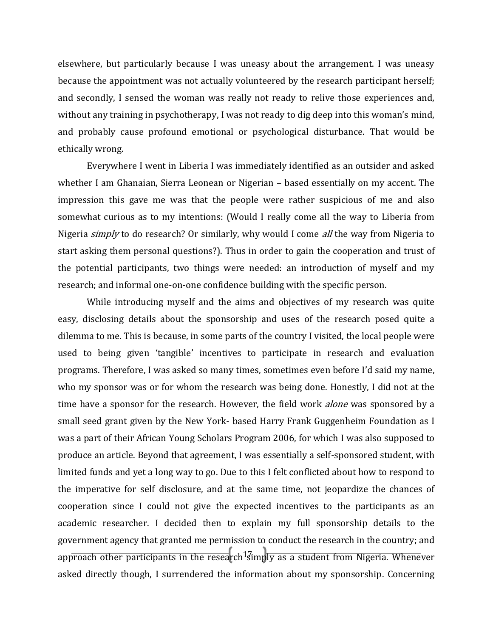elsewhere, but particularly because I was uneasy about the arrangement. I was uneasy because the appointment was not actually volunteered by the research participant herself; and secondly, I sensed the woman was really not ready to relive those experiences and, without any training in psychotherapy, I was not ready to dig deep into this woman's mind, and probably cause profound emotional or psychological disturbance. That would be ethically wrong.

Everywhere I went in Liberia I was immediately identified as an outsider and asked whether I am Ghanaian, Sierra Leonean or Nigerian – based essentially on my accent. The impression this gave me was that the people were rather suspicious of me and also somewhat curious as to my intentions: (Would I really come all the way to Liberia from Nigeria *simply* to do research? Or similarly, why would I come *all* the way from Nigeria to start asking them personal questions?). Thus in order to gain the cooperation and trust of the potential participants, two things were needed: an introduction of myself and my research; and informal one-on-one confidence building with the specific person.

approach other participants in the research<sup>1</sup>simply as a student from Nigeria. Whenever While introducing myself and the aims and objectives of my research was quite easy, disclosing details about the sponsorship and uses of the research posed quite a dilemma to me. This is because, in some parts of the country I visited, the local people were used to being given 'tangible' incentives to participate in research and evaluation programs. Therefore, I was asked so many times, sometimes even before I'd said my name, who my sponsor was or for whom the research was being done. Honestly, I did not at the time have a sponsor for the research. However, the field work *alone* was sponsored by a small seed grant given by the New York- based Harry Frank Guggenheim Foundation as I was a part of their African Young Scholars Program 2006, for which I was also supposed to produce an article. Beyond that agreement, I was essentially a self-sponsored student, with limited funds and yet a long way to go. Due to this I felt conflicted about how to respond to the imperative for self disclosure, and at the same time, not jeopardize the chances of cooperation since I could not give the expected incentives to the participants as an academic researcher. I decided then to explain my full sponsorship details to the government agency that granted me permission to conduct the research in the country; and asked directly though, I surrendered the information about my sponsorship. Concerning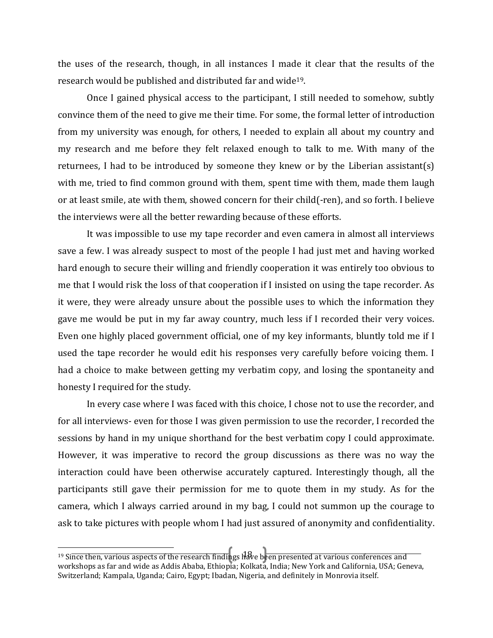the uses of the research, though, in all instances I made it clear that the results of the research would be published and distributed far and wide19.

Once I gained physical access to the participant, I still needed to somehow, subtly convince them of the need to give me their time. For some, the formal letter of introduction from my university was enough, for others, I needed to explain all about my country and my research and me before they felt relaxed enough to talk to me. With many of the returnees, I had to be introduced by someone they knew or by the Liberian assistant(s) with me, tried to find common ground with them, spent time with them, made them laugh or at least smile, ate with them, showed concern for their child(-ren), and so forth. I believe the interviews were all the better rewarding because of these efforts.

It was impossible to use my tape recorder and even camera in almost all interviews save a few. I was already suspect to most of the people I had just met and having worked hard enough to secure their willing and friendly cooperation it was entirely too obvious to me that I would risk the loss of that cooperation if I insisted on using the tape recorder. As it were, they were already unsure about the possible uses to which the information they gave me would be put in my far away country, much less if I recorded their very voices. Even one highly placed government official, one of my key informants, bluntly told me if I used the tape recorder he would edit his responses very carefully before voicing them. I had a choice to make between getting my verbatim copy, and losing the spontaneity and honesty I required for the study.

In every case where I was faced with this choice, I chose not to use the recorder, and for all interviews- even for those I was given permission to use the recorder, I recorded the sessions by hand in my unique shorthand for the best verbatim copy I could approximate. However, it was imperative to record the group discussions as there was no way the interaction could have been otherwise accurately captured. Interestingly though, all the participants still gave their permission for me to quote them in my study. As for the camera, which I always carried around in my bag, I could not summon up the courage to ask to take pictures with people whom I had just assured of anonymity and confidentiality.

<sup>18</sup> <sup>19</sup> Since then, various aspects of the research findings  $\hat{H}$ .  $\hat{H}$  been presented at various conferences and workshops as far and wide as Addis Ababa, Ethiopia; Kolkata, India; New York and California, USA; Geneva, Switzerland; Kampala, Uganda; Cairo, Egypt; Ibadan, Nigeria, and definitely in Monrovia itself.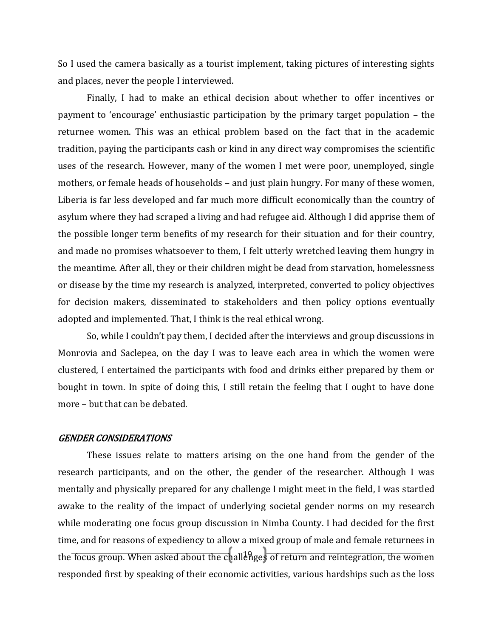So I used the camera basically as a tourist implement, taking pictures of interesting sights and places, never the people I interviewed.

Finally, I had to make an ethical decision about whether to offer incentives or payment to 'encourage' enthusiastic participation by the primary target population – the returnee women. This was an ethical problem based on the fact that in the academic tradition, paying the participants cash or kind in any direct way compromises the scientific uses of the research. However, many of the women I met were poor, unemployed, single mothers, or female heads of households – and just plain hungry. For many of these women, Liberia is far less developed and far much more difficult economically than the country of asylum where they had scraped a living and had refugee aid. Although I did apprise them of the possible longer term benefits of my research for their situation and for their country, and made no promises whatsoever to them, I felt utterly wretched leaving them hungry in the meantime. After all, they or their children might be dead from starvation, homelessness or disease by the time my research is analyzed, interpreted, converted to policy objectives for decision makers, disseminated to stakeholders and then policy options eventually adopted and implemented. That, I think is the real ethical wrong.

So, while I couldn't pay them, I decided after the interviews and group discussions in Monrovia and Saclepea, on the day I was to leave each area in which the women were clustered, I entertained the participants with food and drinks either prepared by them or bought in town. In spite of doing this, I still retain the feeling that I ought to have done more – but that can be debated.

#### GENDER CONSIDERATIONS

the focus group. When asked about the challenges of return and reintegration, the women These issues relate to matters arising on the one hand from the gender of the research participants, and on the other, the gender of the researcher. Although I was mentally and physically prepared for any challenge I might meet in the field, I was startled awake to the reality of the impact of underlying societal gender norms on my research while moderating one focus group discussion in Nimba County. I had decided for the first time, and for reasons of expediency to allow a mixed group of male and female returnees in responded first by speaking of their economic activities, various hardships such as the loss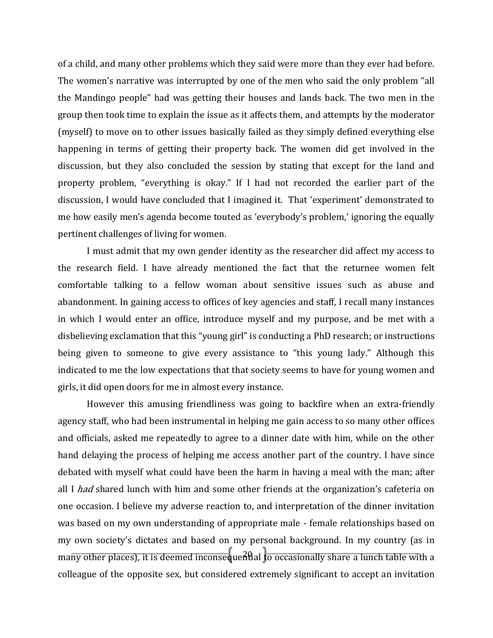of a child, and many other problems which they said were more than they ever had before. The women's narrative was interrupted by one of the men who said the only problem "all the Mandingo people" had was getting their houses and lands back. The two men in the group then took time to explain the issue as it affects them, and attempts by the moderator (myself) to move on to other issues basically failed as they simply defined everything else happening in terms of getting their property back. The women did get involved in the discussion, but they also concluded the session by stating that except for the land and property problem, "everything is okay." If I had not recorded the earlier part of the discussion, I would have concluded that I imagined it. That 'experiment' demonstrated to me how easily men's agenda become touted as 'everybody's problem,' ignoring the equally pertinent challenges of living for women.

I must admit that my own gender identity as the researcher did affect my access to the research field. I have already mentioned the fact that the returnee women felt comfortable talking to a fellow woman about sensitive issues such as abuse and abandonment. In gaining access to offices of key agencies and staff, I recall many instances in which I would enter an office, introduce myself and my purpose, and be met with a disbelieving exclamation that this "young girl" is conducting a PhD research; or instructions being given to someone to give every assistance to "this young lady." Although this indicated to me the low expectations that that society seems to have for young women and girls, it did open doors for me in almost every instance.

many other places), it is deemed inconsequential to occasionally share a lunch table with a However this amusing friendliness was going to backfire when an extra-friendly agency staff, who had been instrumental in helping me gain access to so many other offices and officials, asked me repeatedly to agree to a dinner date with him, while on the other hand delaying the process of helping me access another part of the country. I have since debated with myself what could have been the harm in having a meal with the man; after all I had shared lunch with him and some other friends at the organization's cafeteria on one occasion. I believe my adverse reaction to, and interpretation of the dinner invitation was based on my own understanding of appropriate male - female relationships based on my own society's dictates and based on my personal background. In my country (as in colleague of the opposite sex, but considered extremely significant to accept an invitation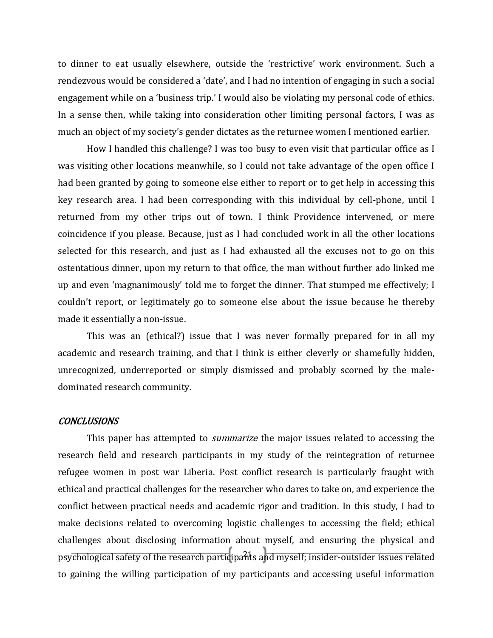to dinner to eat usually elsewhere, outside the 'restrictive' work environment. Such a rendezvous would be considered a 'date', and I had no intention of engaging in such a social engagement while on a 'business trip.' I would also be violating my personal code of ethics. In a sense then, while taking into consideration other limiting personal factors, I was as much an object of my society's gender dictates as the returnee women I mentioned earlier.

How I handled this challenge? I was too busy to even visit that particular office as I was visiting other locations meanwhile, so I could not take advantage of the open office I had been granted by going to someone else either to report or to get help in accessing this key research area. I had been corresponding with this individual by cell-phone, until I returned from my other trips out of town. I think Providence intervened, or mere coincidence if you please. Because, just as I had concluded work in all the other locations selected for this research, and just as I had exhausted all the excuses not to go on this ostentatious dinner, upon my return to that office, the man without further ado linked me up and even 'magnanimously' told me to forget the dinner. That stumped me effectively; I couldn't report, or legitimately go to someone else about the issue because he thereby made it essentially a non-issue.

This was an (ethical?) issue that I was never formally prepared for in all my academic and research training, and that I think is either cleverly or shamefully hidden, unrecognized, underreported or simply dismissed and probably scorned by the maledominated research community.

#### **CONCLUSIONS**

psychological safety of the research participants and myself; insider-outsider issues related This paper has attempted to *summarize* the major issues related to accessing the research field and research participants in my study of the reintegration of returnee refugee women in post war Liberia. Post conflict research is particularly fraught with ethical and practical challenges for the researcher who dares to take on, and experience the conflict between practical needs and academic rigor and tradition. In this study, I had to make decisions related to overcoming logistic challenges to accessing the field; ethical challenges about disclosing information about myself, and ensuring the physical and to gaining the willing participation of my participants and accessing useful information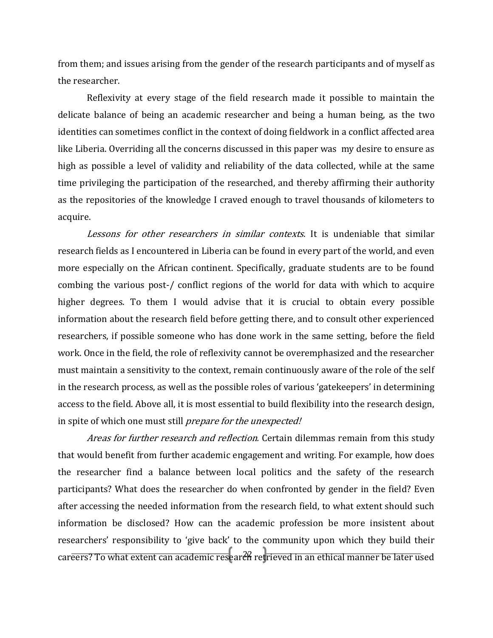from them; and issues arising from the gender of the research participants and of myself as the researcher.

Reflexivity at every stage of the field research made it possible to maintain the delicate balance of being an academic researcher and being a human being, as the two identities can sometimes conflict in the context of doing fieldwork in a conflict affected area like Liberia. Overriding all the concerns discussed in this paper was my desire to ensure as high as possible a level of validity and reliability of the data collected, while at the same time privileging the participation of the researched, and thereby affirming their authority as the repositories of the knowledge I craved enough to travel thousands of kilometers to acquire.

Lessons for other researchers in similar contexts. It is undeniable that similar research fields as I encountered in Liberia can be found in every part of the world, and even more especially on the African continent. Specifically, graduate students are to be found combing the various post-/ conflict regions of the world for data with which to acquire higher degrees. To them I would advise that it is crucial to obtain every possible information about the research field before getting there, and to consult other experienced researchers, if possible someone who has done work in the same setting, before the field work. Once in the field, the role of reflexivity cannot be overemphasized and the researcher must maintain a sensitivity to the context, remain continuously aware of the role of the self in the research process, as well as the possible roles of various 'gatekeepers' in determining access to the field. Above all, it is most essential to build flexibility into the research design, in spite of which one must still prepare for the unexpected!

car<del>eers? To what extent can academic research retrieved in an ethical manner be later used</del> Areas for further research and reflection. Certain dilemmas remain from this study that would benefit from further academic engagement and writing. For example, how does the researcher find a balance between local politics and the safety of the research participants? What does the researcher do when confronted by gender in the field? Even after accessing the needed information from the research field, to what extent should such information be disclosed? How can the academic profession be more insistent about researchers' responsibility to 'give back' to the community upon which they build their